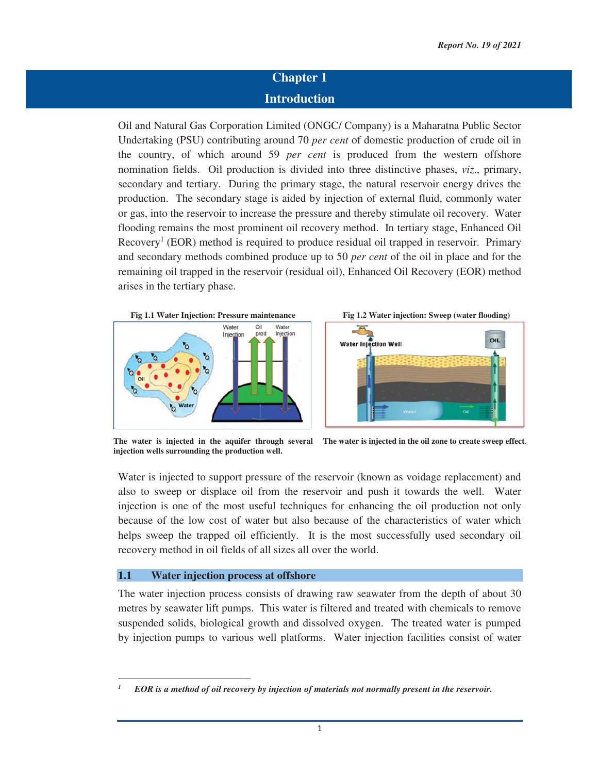## **Chapter 1 Introduction**

Oil and Natural Gas Corporation Limited (ONGC/ Company) is a Maharatna Public Sector Undertaking (PSU) contributing around 70 *per cent* of domestic production of crude oil in the country, of which around 59 *per cent* is produced from the western offshore nomination fields. Oil production is divided into three distinctive phases, *viz*., primary, secondary and tertiary. During the primary stage, the natural reservoir energy drives the production. The secondary stage is aided by injection of external fluid, commonly water or gas, into the reservoir to increase the pressure and thereby stimulate oil recovery. Water flooding remains the most prominent oil recovery method. In tertiary stage, Enhanced Oil Recovery<sup>1</sup> (EOR) method is required to produce residual oil trapped in reservoir. Primary and secondary methods combined produce up to 50 *per cent* of the oil in place and for the remaining oil trapped in the reservoir (residual oil), Enhanced Oil Recovery (EOR) method arises in the tertiary phase.





**injection wells surrounding the production well.** 

**The water is injected in the aquifer through several The water is injected in the oil zone to create sweep effect**.

Water is injected to support pressure of the reservoir (known as voidage replacement) and also to sweep or displace oil from the reservoir and push it towards the well. Water injection is one of the most useful techniques for enhancing the oil production not only because of the low cost of water but also because of the characteristics of water which helps sweep the trapped oil efficiently. It is the most successfully used secondary oil recovery method in oil fields of all sizes all over the world.

## **1.1 Water injection process at offshore**

<u> 1989 - Johann Stein, mars ar breithinn ar chuid ann an t-</u>

The water injection process consists of drawing raw seawater from the depth of about 30 metres by seawater lift pumps. This water is filtered and treated with chemicals to remove suspended solids, biological growth and dissolved oxygen. The treated water is pumped by injection pumps to various well platforms. Water injection facilities consist of water

*<sup>1</sup> EOR is a method of oil recovery by injection of materials not normally present in the reservoir.*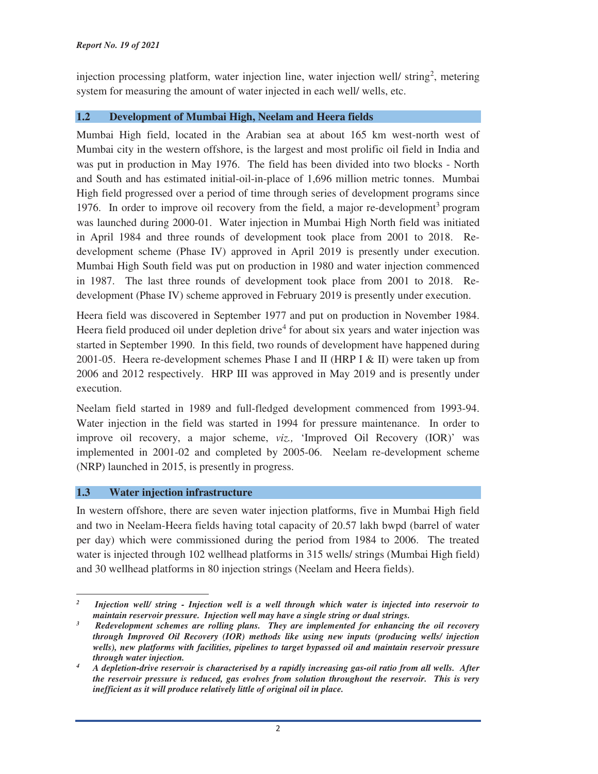injection processing platform, water injection line, water injection well/ $string<sup>2</sup>$ , metering system for measuring the amount of water injected in each well/ wells, etc.

## **1.2 Development of Mumbai High, Neelam and Heera fields**

Mumbai High field, located in the Arabian sea at about 165 km west-north west of Mumbai city in the western offshore, is the largest and most prolific oil field in India and was put in production in May 1976. The field has been divided into two blocks - North and South and has estimated initial-oil-in-place of 1,696 million metric tonnes. Mumbai High field progressed over a period of time through series of development programs since 1976. In order to improve oil recovery from the field, a major re-development<sup>3</sup> program was launched during 2000-01. Water injection in Mumbai High North field was initiated in April 1984 and three rounds of development took place from 2001 to 2018. Redevelopment scheme (Phase IV) approved in April 2019 is presently under execution. Mumbai High South field was put on production in 1980 and water injection commenced in 1987. The last three rounds of development took place from 2001 to 2018. Redevelopment (Phase IV) scheme approved in February 2019 is presently under execution.

Heera field was discovered in September 1977 and put on production in November 1984. Heera field produced oil under depletion drive<sup>4</sup> for about six years and water injection was started in September 1990. In this field, two rounds of development have happened during 2001-05. Heera re-development schemes Phase I and II (HRP I & II) were taken up from 2006 and 2012 respectively. HRP III was approved in May 2019 and is presently under execution.

Neelam field started in 1989 and full-fledged development commenced from 1993-94. Water injection in the field was started in 1994 for pressure maintenance. In order to improve oil recovery, a major scheme, *viz.,* 'Improved Oil Recovery (IOR)' was implemented in 2001-02 and completed by 2005-06. Neelam re-development scheme (NRP) launched in 2015, is presently in progress.

## **1.3 Water injection infrastructure**

In western offshore, there are seven water injection platforms, five in Mumbai High field and two in Neelam-Heera fields having total capacity of 20.57 lakh bwpd (barrel of water per day) which were commissioned during the period from 1984 to 2006. The treated water is injected through 102 wellhead platforms in 315 wells/ strings (Mumbai High field) and 30 wellhead platforms in 80 injection strings (Neelam and Heera fields).

 *2 Injection well/ string - Injection well is a well through which water is injected into reservoir to maintain reservoir pressure. Injection well may have a single string or dual strings.*

*<sup>3</sup> Redevelopment schemes are rolling plans. They are implemented for enhancing the oil recovery through Improved Oil Recovery (IOR) methods like using new inputs (producing wells/ injection wells), new platforms with facilities, pipelines to target bypassed oil and maintain reservoir pressure through water injection. 4*

*A depletion-drive reservoir is characterised by a rapidly increasing gas-oil ratio from all wells. After the reservoir pressure is reduced, gas evolves from solution throughout the reservoir. This is very inefficient as it will produce relatively little of original oil in place.*